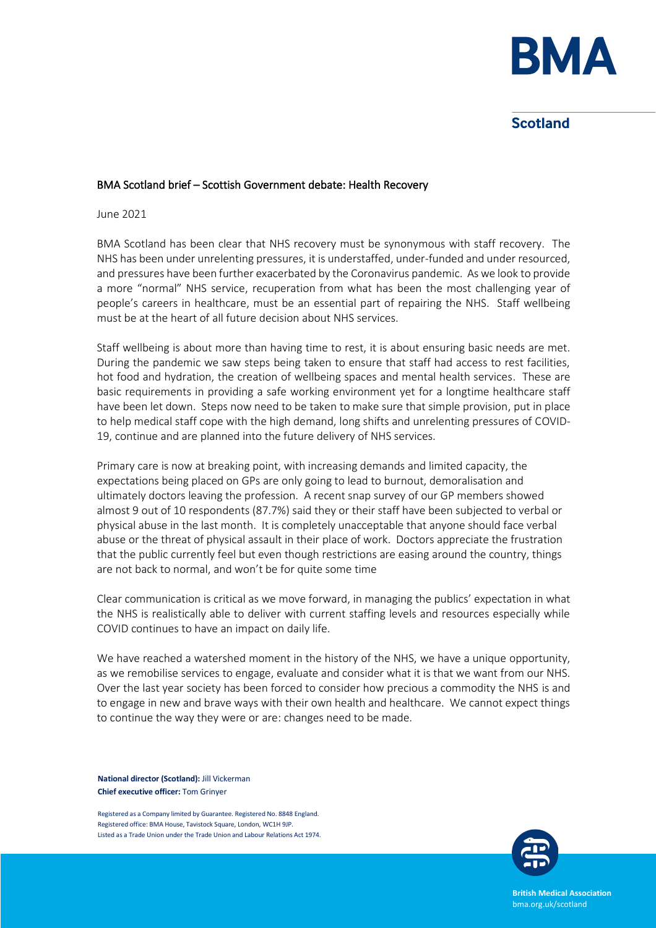

# **Scotland**

### BMA Scotland brief – Scottish Government debate: Health Recovery

June 2021

BMA Scotland has been clear that NHS recovery must be synonymous with staff recovery. The NHS has been under unrelenting pressures, it is understaffed, under-funded and under resourced, and pressures have been further exacerbated by the Coronavirus pandemic. As we look to provide a more "normal" NHS service, recuperation from what has been the most challenging year of people's careers in healthcare, must be an essential part of repairing the NHS. Staff wellbeing must be at the heart of all future decision about NHS services.

Staff wellbeing is about more than having time to rest, it is about ensuring basic needs are met. During the pandemic we saw steps being taken to ensure that staff had access to rest facilities, hot food and hydration, the creation of wellbeing spaces and mental health services. These are basic requirements in providing a safe working environment yet for a longtime healthcare staff have been let down. Steps now need to be taken to make sure that simple provision, put in place to help medical staff cope with the high demand, long shifts and unrelenting pressures of COVID-19, continue and are planned into the future delivery of NHS services.

Primary care is now at breaking point, with increasing demands and limited capacity, the expectations being placed on GPs are only going to lead to burnout, demoralisation and ultimately doctors leaving the profession. A recent snap survey of our GP members showed almost 9 out of 10 respondents (87.7%) said they or their staff have been subjected to verbal or physical abuse in the last month. It is completely unacceptable that anyone should face verbal abuse or the threat of physical assault in their place of work. Doctors appreciate the frustration that the public currently feel but even though restrictions are easing around the country, things are not back to normal, and won't be for quite some time

Clear communication is critical as we move forward, in managing the publics' expectation in what the NHS is realistically able to deliver with current staffing levels and resources especially while COVID continues to have an impact on daily life.

We have reached a watershed moment in the history of the NHS, we have a unique opportunity, as we remobilise services to engage, evaluate and consider what it is that we want from our NHS. Over the last year society has been forced to consider how precious a commodity the NHS is and to engage in new and brave ways with their own health and healthcare. We cannot expect things to continue the way they were or are: changes need to be made.

**National director (Scotland):** Jill Vickerman **Chief executive officer:** Tom Grinyer

Registered as a Company limited by Guarantee. Registered No. 8848 England. Registered office: BMA House, Tavistock Square, London, WC1H 9JP. Listed as a Trade Union under the Trade Union and Labour Relations Act 1974.



**British Medical Association** bma.org.uk/scotland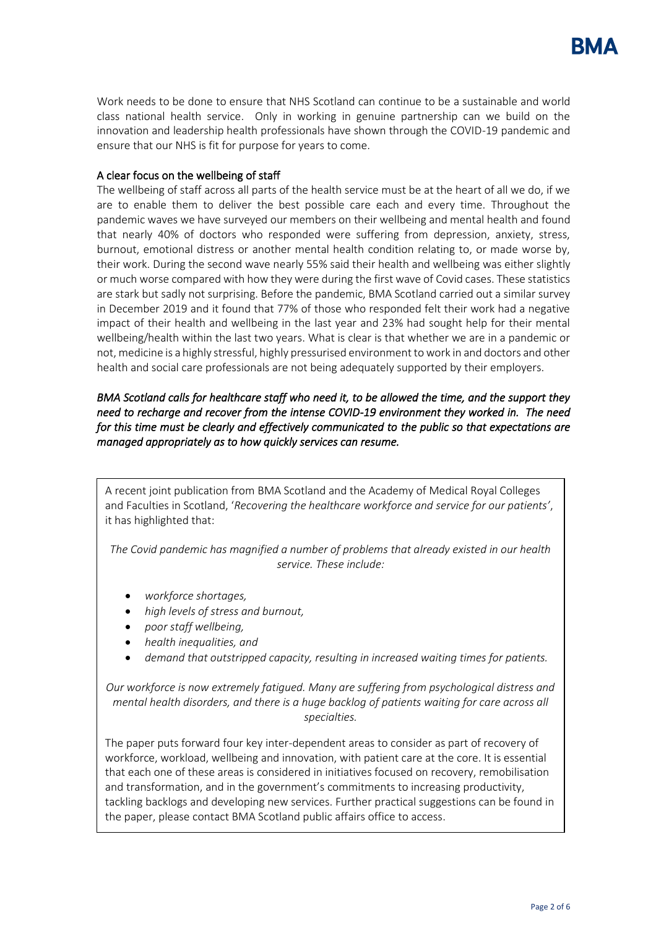Work needs to be done to ensure that NHS Scotland can continue to be a sustainable and world class national health service. Only in working in genuine partnership can we build on the innovation and leadership health professionals have shown through the COVID-19 pandemic and ensure that our NHS is fit for purpose for years to come.

## A clear focus on the wellbeing of staff

The wellbeing of staff across all parts of the health service must be at the heart of all we do, if we are to enable them to deliver the best possible care each and every time. Throughout the pandemic waves we have surveyed our members on their wellbeing and mental health and found that nearly 40% of doctors who responded were suffering from depression, anxiety, stress, burnout, emotional distress or another mental health condition relating to, or made worse by, their work. During the second wave nearly 55% said their health and wellbeing was either slightly or much worse compared with how they were during the first wave of Covid cases. These statistics are stark but sadly not surprising. Before the pandemic, BMA Scotland carried out a similar survey in December 2019 and it found that 77% of those who responded felt their work had a negative impact of their health and wellbeing in the last year and 23% had sought help for their mental wellbeing/health within the last two years. What is clear is that whether we are in a pandemic or not, medicine is a highly stressful, highly pressurised environment to work in and doctors and other health and social care professionals are not being adequately supported by their employers.

## *BMA Scotland calls for healthcare staff who need it, to be allowed the time, and the support they need to recharge and recover from the intense COVID-19 environment they worked in. The need for this time must be clearly and effectively communicated to the public so that expectations are managed appropriately as to how quickly services can resume.*

A recent joint publication from BMA Scotland and the Academy of Medical Royal Colleges and Faculties in Scotland, '*Recovering the healthcare workforce and service for our patients'*, it has highlighted that:

*The Covid pandemic has magnified a number of problems that already existed in our health service. These include:*

- *workforce shortages,*
- *high levels of stress and burnout,*
- *poor staff wellbeing,*
- *health inequalities, and*
- *demand that outstripped capacity, resulting in increased waiting times for patients.*

*Our workforce is now extremely fatigued. Many are suffering from psychological distress and mental health disorders, and there is a huge backlog of patients waiting for care across all specialties.*

The paper puts forward four key inter-dependent areas to consider as part of recovery of workforce, workload, wellbeing and innovation, with patient care at the core. It is essential that each one of these areas is considered in initiatives focused on recovery, remobilisation and transformation, and in the government's commitments to increasing productivity, tackling backlogs and developing new services. Further practical suggestions can be found in the paper, please contact BMA Scotland public affairs office to access.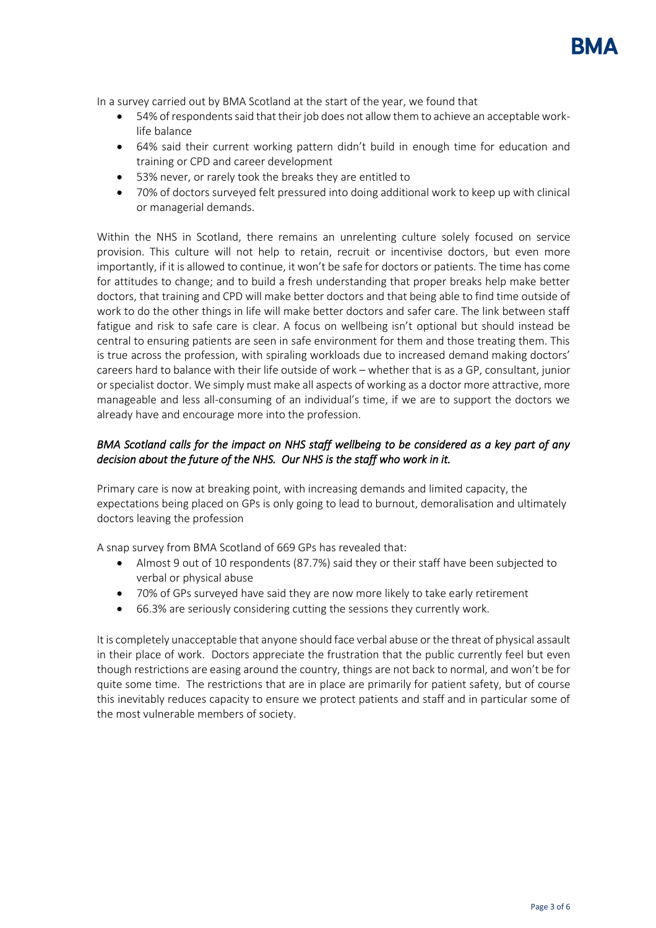In a survey carried out by BMA Scotland at the start of the year, we found that

- 54% of respondents said that their job does not allow them to achieve an acceptable worklife balance
- 64% said their current working pattern didn't build in enough time for education and training or CPD and career development
- 53% never, or rarely took the breaks they are entitled to
- 70% of doctors surveyed felt pressured into doing additional work to keep up with clinical or managerial demands.

Within the NHS in Scotland, there remains an unrelenting culture solely focused on service provision. This culture will not help to retain, recruit or incentivise doctors, but even more importantly, if it is allowed to continue, it won't be safe for doctors or patients. The time has come for attitudes to change; and to build a fresh understanding that proper breaks help make better doctors, that training and CPD will make better doctors and that being able to find time outside of work to do the other things in life will make better doctors and safer care. The link between staff fatigue and risk to safe care is clear. A focus on wellbeing isn't optional but should instead be central to ensuring patients are seen in safe environment for them and those treating them. This is true across the profession, with spiraling workloads due to increased demand making doctors' careers hard to balance with their life outside of work – whether that is as a GP, consultant, junior or specialist doctor. We simply must make all aspects of working as a doctor more attractive, more manageable and less all-consuming of an individual's time, if we are to support the doctors we already have and encourage more into the profession.

## *BMA Scotland calls for the impact on NHS staff wellbeing to be considered as a key part of any decision about the future of the NHS. Our NHS is the staff who work in it.*

Primary care is now at breaking point, with increasing demands and limited capacity, the expectations being placed on GPs is only going to lead to burnout, demoralisation and ultimately doctors leaving the profession

A snap survey from BMA Scotland of 669 GPs has revealed that:

- Almost 9 out of 10 respondents (87.7%) said they or their staff have been subjected to verbal or physical abuse
- 70% of GPs surveyed have said they are now more likely to take early retirement
- 66.3% are seriously considering cutting the sessions they currently work.

It is completely unacceptable that anyone should face verbal abuse or the threat of physical assault in their place of work. Doctors appreciate the frustration that the public currently feel but even though restrictions are easing around the country, things are not back to normal, and won't be for quite some time. The restrictions that are in place are primarily for patient safety, but of course this inevitably reduces capacity to ensure we protect patients and staff and in particular some of the most vulnerable members of society.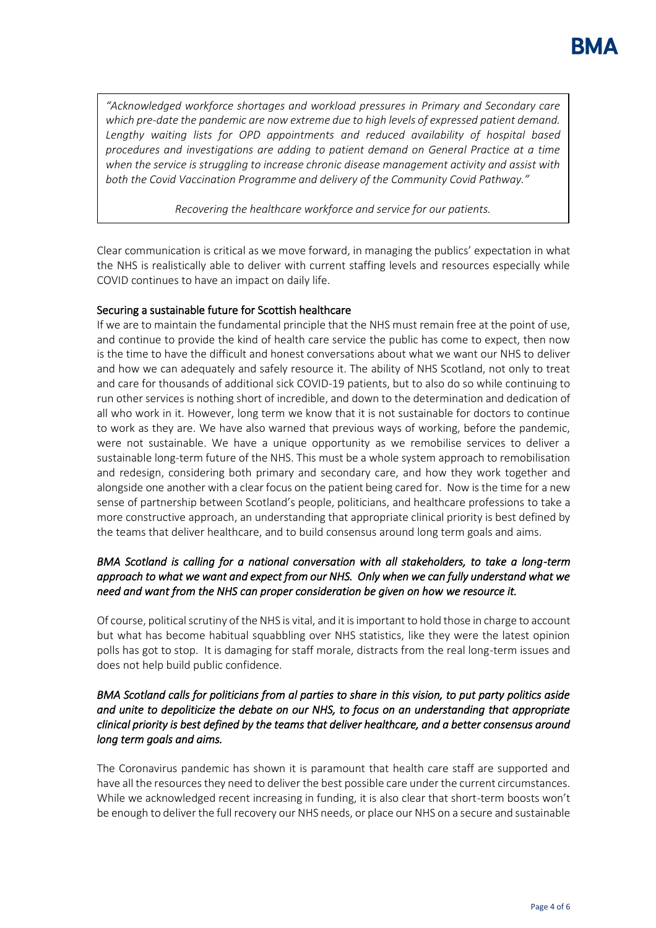*"Acknowledged workforce shortages and workload pressures in Primary and Secondary care which pre-date the pandemic are now extreme due to high levels of expressed patient demand.*  Lengthy waiting lists for OPD appointments and reduced availability of hospital based *procedures and investigations are adding to patient demand on General Practice at a time when the service is struggling to increase chronic disease management activity and assist with both the Covid Vaccination Programme and delivery of the Community Covid Pathway."*

*Recovering the healthcare workforce and service for our patients.*

Clear communication is critical as we move forward, in managing the publics' expectation in what the NHS is realistically able to deliver with current staffing levels and resources especially while COVID continues to have an impact on daily life.

## Securing a sustainable future for Scottish healthcare

If we are to maintain the fundamental principle that the NHS must remain free at the point of use, and continue to provide the kind of health care service the public has come to expect, then now is the time to have the difficult and honest conversations about what we want our NHS to deliver and how we can adequately and safely resource it. The ability of NHS Scotland, not only to treat and care for thousands of additional sick COVID-19 patients, but to also do so while continuing to run other services is nothing short of incredible, and down to the determination and dedication of all who work in it. However, long term we know that it is not sustainable for doctors to continue to work as they are. We have also warned that previous ways of working, before the pandemic, were not sustainable. We have a unique opportunity as we remobilise services to deliver a sustainable long-term future of the NHS. This must be a whole system approach to remobilisation and redesign, considering both primary and secondary care, and how they work together and alongside one another with a clear focus on the patient being cared for. Now is the time for a new sense of partnership between Scotland's people, politicians, and healthcare professions to take a more constructive approach, an understanding that appropriate clinical priority is best defined by the teams that deliver healthcare, and to build consensus around long term goals and aims.

## *BMA Scotland is calling for a national conversation with all stakeholders, to take a long-term approach to what we want and expect from our NHS. Only when we can fully understand what we need and want from the NHS can proper consideration be given on how we resource it.*

Of course, political scrutiny of the NHS is vital, and it is important to hold those in charge to account but what has become habitual squabbling over NHS statistics, like they were the latest opinion polls has got to stop. It is damaging for staff morale, distracts from the real long-term issues and does not help build public confidence.

## *BMA Scotland calls for politicians from al parties to share in this vision, to put party politics aside and unite to depoliticize the debate on our NHS, to focus on an understanding that appropriate clinical priority is best defined by the teams that deliver healthcare, and a better consensus around long term goals and aims.*

The Coronavirus pandemic has shown it is paramount that health care staff are supported and have all the resources they need to deliver the best possible care under the current circumstances. While we acknowledged recent increasing in funding, it is also clear that short-term boosts won't be enough to deliver the full recovery our NHS needs, or place our NHS on a secure and sustainable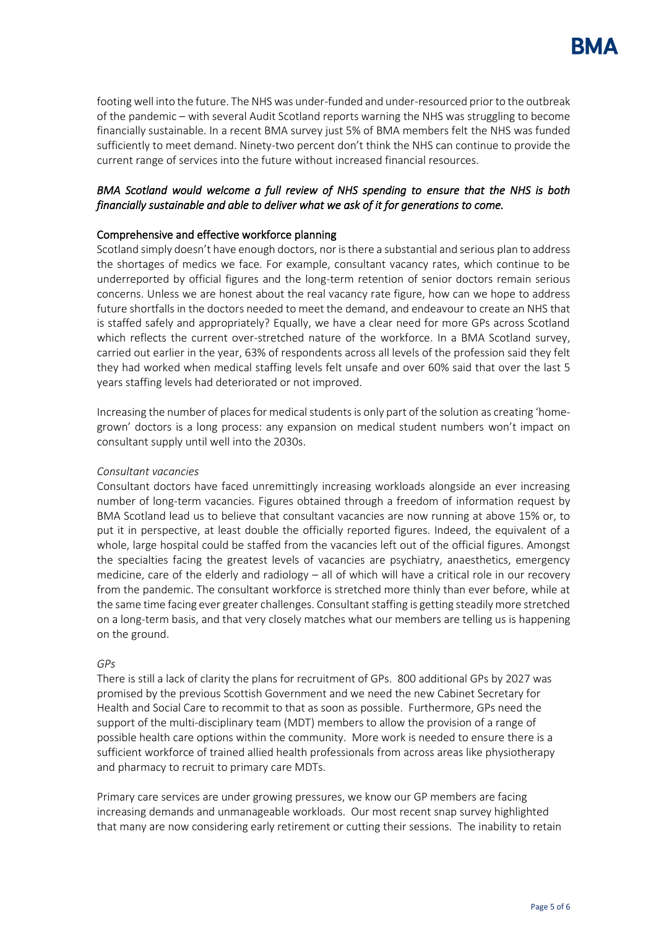

footing well into the future. The NHS was under-funded and under-resourced prior to the outbreak of the pandemic – with several Audit Scotland reports warning the NHS was struggling to become financially sustainable. In a recent BMA survey just 5% of BMA members felt the NHS was funded sufficiently to meet demand. Ninety-two percent don't think the NHS can continue to provide the current range of services into the future without increased financial resources.

## *BMA Scotland would welcome a full review of NHS spending to ensure that the NHS is both financially sustainable and able to deliver what we ask of it for generations to come.*

### Comprehensive and effective workforce planning

Scotland simply doesn't have enough doctors, nor is there a substantial and serious plan to address the shortages of medics we face. For example, consultant vacancy rates, which continue to be underreported by official figures and the long-term retention of senior doctors remain serious concerns. Unless we are honest about the real vacancy rate figure, how can we hope to address future shortfalls in the doctors needed to meet the demand, and endeavour to create an NHS that is staffed safely and appropriately? Equally, we have a clear need for more GPs across Scotland which reflects the current over-stretched nature of the workforce. In a BMA Scotland survey, carried out earlier in the year, 63% of respondents across all levels of the profession said they felt they had worked when medical staffing levels felt unsafe and over 60% said that over the last 5 years staffing levels had deteriorated or not improved.

Increasing the number of places for medical students is only part of the solution as creating 'homegrown' doctors is a long process: any expansion on medical student numbers won't impact on consultant supply until well into the 2030s.

### *Consultant vacancies*

Consultant doctors have faced unremittingly increasing workloads alongside an ever increasing number of long-term vacancies. Figures obtained through a freedom of information request by BMA Scotland lead us to believe that consultant vacancies are now running at above 15% or, to put it in perspective, at least double the officially reported figures. Indeed, the equivalent of a whole, large hospital could be staffed from the vacancies left out of the official figures. Amongst the specialties facing the greatest levels of vacancies are psychiatry, anaesthetics, emergency medicine, care of the elderly and radiology – all of which will have a critical role in our recovery from the pandemic. The consultant workforce is stretched more thinly than ever before, while at the same time facing ever greater challenges. Consultant staffing is getting steadily more stretched on a long-term basis, and that very closely matches what our members are telling us is happening on the ground.

#### *GPs*

There is still a lack of clarity the plans for recruitment of GPs. 800 additional GPs by 2027 was promised by the previous Scottish Government and we need the new Cabinet Secretary for Health and Social Care to recommit to that as soon as possible. Furthermore, GPs need the support of the multi-disciplinary team (MDT) members to allow the provision of a range of possible health care options within the community. More work is needed to ensure there is a sufficient workforce of trained allied health professionals from across areas like physiotherapy and pharmacy to recruit to primary care MDTs.

Primary care services are under growing pressures, we know our GP members are facing increasing demands and unmanageable workloads. Our most recent snap survey highlighted that many are now considering early retirement or cutting their sessions. The inability to retain